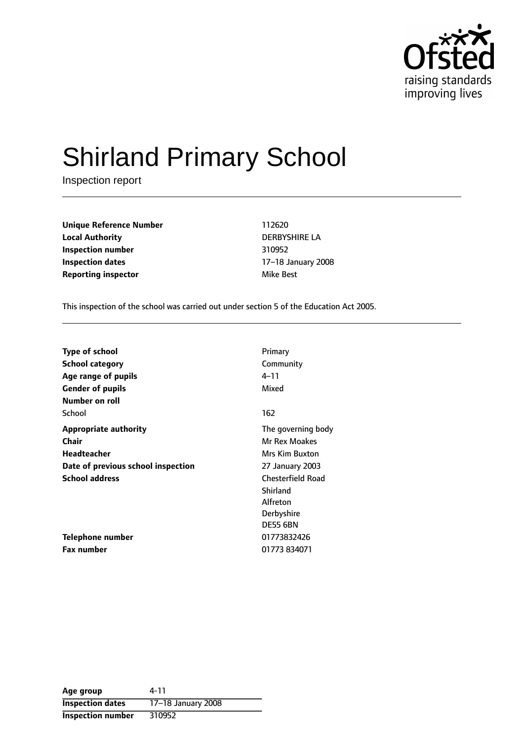

# Shirland Primary School

Inspection report

**Unique Reference Number** 112620 **Local Authority** DERBYSHIRE LA **Inspection number** 310952 **Inspection dates** 17-18 January 2008 **Reporting inspector and a structure of the Best** 

This inspection of the school was carried out under section 5 of the Education Act 2005.

| <b>Type of school</b>              | Primary                  |
|------------------------------------|--------------------------|
| School category                    | Community                |
| Age range of pupils                | $4 - 11$                 |
| <b>Gender of pupils</b>            | Mixed                    |
| <b>Number on roll</b>              |                          |
| School                             | 162                      |
| <b>Appropriate authority</b>       | The governing body       |
| Chair                              | Mr Rex Moakes            |
| Headteacher                        | <b>Mrs Kim Buxton</b>    |
| Date of previous school inspection | 27 January 2003          |
| <b>School address</b>              | <b>Chesterfield Road</b> |
|                                    | Shirland                 |
|                                    | Alfreton                 |
|                                    | Derbyshire               |
|                                    | <b>DE55 6BN</b>          |
| Telephone number                   | 01773832426              |
| <b>Fax number</b>                  | 01773 834071             |

**Age group** 4-11 **Inspection dates** 17-18 January 2008 **Inspection number** 310952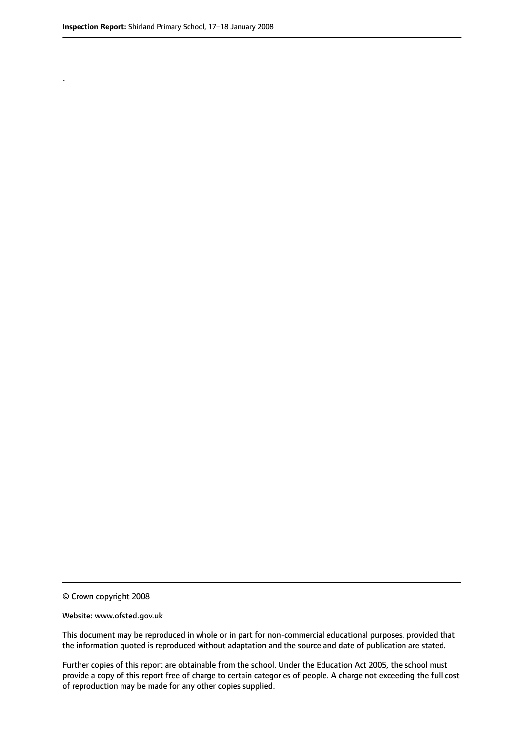.

© Crown copyright 2008

#### Website: www.ofsted.gov.uk

This document may be reproduced in whole or in part for non-commercial educational purposes, provided that the information quoted is reproduced without adaptation and the source and date of publication are stated.

Further copies of this report are obtainable from the school. Under the Education Act 2005, the school must provide a copy of this report free of charge to certain categories of people. A charge not exceeding the full cost of reproduction may be made for any other copies supplied.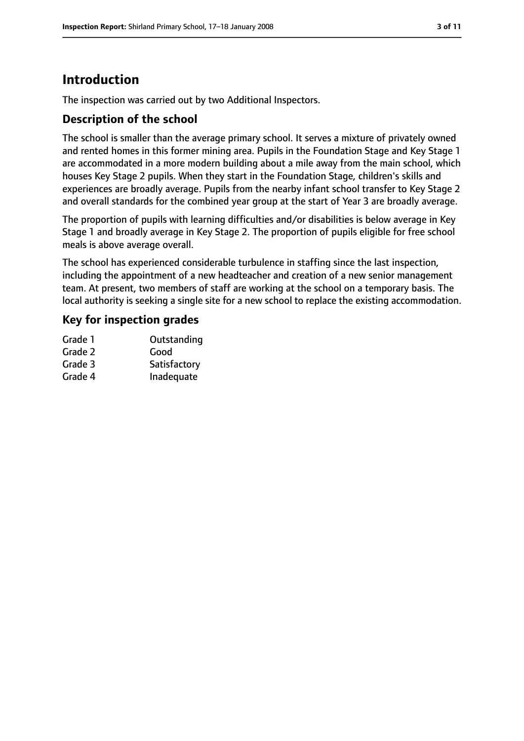# **Introduction**

The inspection was carried out by two Additional Inspectors.

## **Description of the school**

The school is smaller than the average primary school. It serves a mixture of privately owned and rented homes in this former mining area. Pupils in the Foundation Stage and Key Stage 1 are accommodated in a more modern building about a mile away from the main school, which houses Key Stage 2 pupils. When they start in the Foundation Stage, children's skills and experiences are broadly average. Pupils from the nearby infant school transfer to Key Stage 2 and overall standards for the combined year group at the start of Year 3 are broadly average.

The proportion of pupils with learning difficulties and/or disabilities is below average in Key Stage 1 and broadly average in Key Stage 2. The proportion of pupils eligible for free school meals is above average overall.

The school has experienced considerable turbulence in staffing since the last inspection, including the appointment of a new headteacher and creation of a new senior management team. At present, two members of staff are working at the school on a temporary basis. The local authority is seeking a single site for a new school to replace the existing accommodation.

#### **Key for inspection grades**

| Grade 1 | Outstanding  |
|---------|--------------|
| Grade 2 | Good         |
| Grade 3 | Satisfactory |
| Grade 4 | Inadequate   |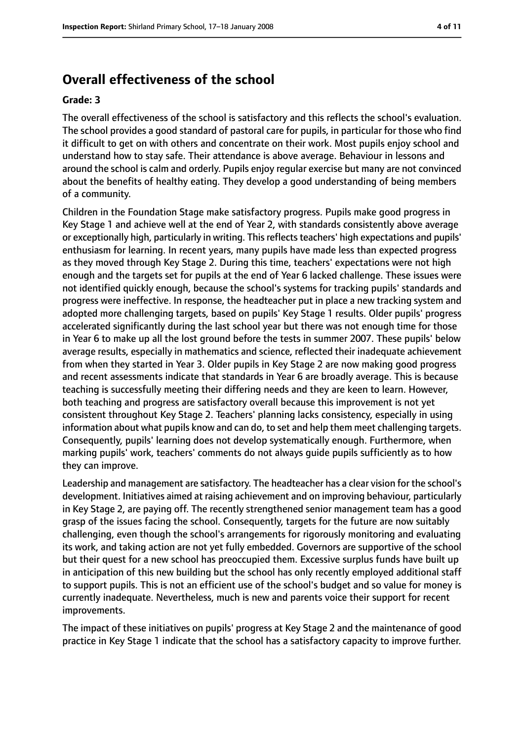# **Overall effectiveness of the school**

#### **Grade: 3**

The overall effectiveness of the school is satisfactory and this reflects the school's evaluation. The school provides a good standard of pastoral care for pupils, in particular for those who find it difficult to get on with others and concentrate on their work. Most pupils enjoy school and understand how to stay safe. Their attendance is above average. Behaviour in lessons and around the school is calm and orderly. Pupils enjoy regular exercise but many are not convinced about the benefits of healthy eating. They develop a good understanding of being members of a community.

Children in the Foundation Stage make satisfactory progress. Pupils make good progress in Key Stage 1 and achieve well at the end of Year 2, with standards consistently above average or exceptionally high, particularly in writing. This reflects teachers' high expectations and pupils' enthusiasm for learning. In recent years, many pupils have made less than expected progress as they moved through Key Stage 2. During this time, teachers' expectations were not high enough and the targets set for pupils at the end of Year 6 lacked challenge. These issues were not identified quickly enough, because the school's systems for tracking pupils' standards and progress were ineffective. In response, the headteacher put in place a new tracking system and adopted more challenging targets, based on pupils' Key Stage 1 results. Older pupils' progress accelerated significantly during the last school year but there was not enough time for those in Year 6 to make up all the lost ground before the tests in summer 2007. These pupils' below average results, especially in mathematics and science, reflected their inadequate achievement from when they started in Year 3. Older pupils in Key Stage 2 are now making good progress and recent assessments indicate that standards in Year 6 are broadly average. This is because teaching is successfully meeting their differing needs and they are keen to learn. However, both teaching and progress are satisfactory overall because this improvement is not yet consistent throughout Key Stage 2. Teachers' planning lacks consistency, especially in using information about what pupils know and can do, to set and help them meet challenging targets. Consequently, pupils' learning does not develop systematically enough. Furthermore, when marking pupils' work, teachers' comments do not always guide pupils sufficiently as to how they can improve.

Leadership and management are satisfactory. The headteacher has a clear vision for the school's development. Initiatives aimed at raising achievement and on improving behaviour, particularly in Key Stage 2, are paying off. The recently strengthened senior management team has a good grasp of the issues facing the school. Consequently, targets for the future are now suitably challenging, even though the school's arrangements for rigorously monitoring and evaluating its work, and taking action are not yet fully embedded. Governors are supportive of the school but their quest for a new school has preoccupied them. Excessive surplus funds have built up in anticipation of this new building but the school has only recently employed additional staff to support pupils. This is not an efficient use of the school's budget and so value for money is currently inadequate. Nevertheless, much is new and parents voice their support for recent improvements.

The impact of these initiatives on pupils' progress at Key Stage 2 and the maintenance of good practice in Key Stage 1 indicate that the school has a satisfactory capacity to improve further.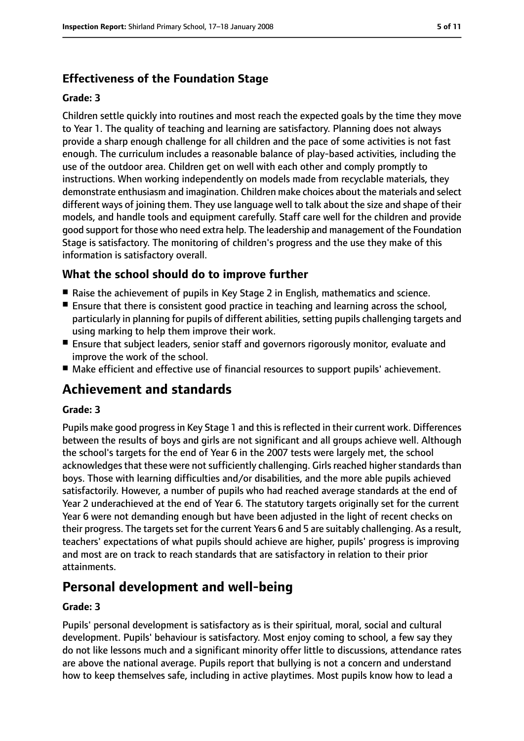# **Effectiveness of the Foundation Stage**

#### **Grade: 3**

Children settle quickly into routines and most reach the expected goals by the time they move to Year 1. The quality of teaching and learning are satisfactory. Planning does not always provide a sharp enough challenge for all children and the pace of some activities is not fast enough. The curriculum includes a reasonable balance of play-based activities, including the use of the outdoor area. Children get on well with each other and comply promptly to instructions. When working independently on models made from recyclable materials, they demonstrate enthusiasm and imagination. Children make choices about the materials and select different ways of joining them. They use language well to talk about the size and shape of their models, and handle tools and equipment carefully. Staff care well for the children and provide good support for those who need extra help. The leadership and management of the Foundation Stage is satisfactory. The monitoring of children's progress and the use they make of this information is satisfactory overall.

# **What the school should do to improve further**

- Raise the achievement of pupils in Key Stage 2 in English, mathematics and science.
- Ensure that there is consistent good practice in teaching and learning across the school, particularly in planning for pupils of different abilities, setting pupils challenging targets and using marking to help them improve their work.
- Ensure that subject leaders, senior staff and governors rigorously monitor, evaluate and improve the work of the school.
- Make efficient and effective use of financial resources to support pupils' achievement.

# **Achievement and standards**

#### **Grade: 3**

Pupils make good progress in Key Stage 1 and this is reflected in their current work. Differences between the results of boys and girls are not significant and all groups achieve well. Although the school's targets for the end of Year 6 in the 2007 tests were largely met, the school acknowledges that these were not sufficiently challenging. Girls reached higher standards than boys. Those with learning difficulties and/or disabilities, and the more able pupils achieved satisfactorily. However, a number of pupils who had reached average standards at the end of Year 2 underachieved at the end of Year 6. The statutory targets originally set for the current Year 6 were not demanding enough but have been adjusted in the light of recent checks on their progress. The targets set for the current Years 6 and 5 are suitably challenging. As a result, teachers' expectations of what pupils should achieve are higher, pupils' progress is improving and most are on track to reach standards that are satisfactory in relation to their prior attainments.

# **Personal development and well-being**

#### **Grade: 3**

Pupils' personal development is satisfactory as is their spiritual, moral, social and cultural development. Pupils' behaviour is satisfactory. Most enjoy coming to school, a few say they do not like lessons much and a significant minority offer little to discussions, attendance rates are above the national average. Pupils report that bullying is not a concern and understand how to keep themselves safe, including in active playtimes. Most pupils know how to lead a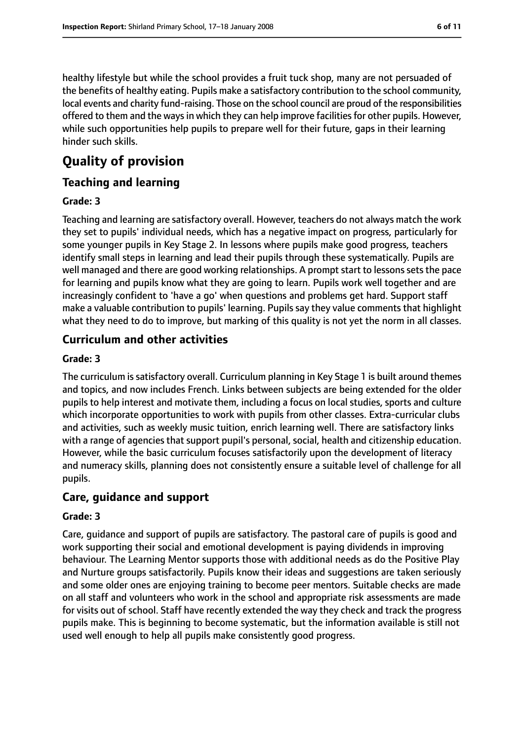healthy lifestyle but while the school provides a fruit tuck shop, many are not persuaded of the benefits of healthy eating. Pupils make a satisfactory contribution to the school community, local events and charity fund-raising. Those on the school council are proud of the responsibilities offered to them and the ways in which they can help improve facilities for other pupils. However, while such opportunities help pupils to prepare well for their future, gaps in their learning hinder such skills.

# **Quality of provision**

# **Teaching and learning**

#### **Grade: 3**

Teaching and learning are satisfactory overall. However, teachers do not always match the work they set to pupils' individual needs, which has a negative impact on progress, particularly for some younger pupils in Key Stage 2. In lessons where pupils make good progress, teachers identify small steps in learning and lead their pupils through these systematically. Pupils are well managed and there are good working relationships. A prompt start to lessons sets the pace for learning and pupils know what they are going to learn. Pupils work well together and are increasingly confident to 'have a go' when questions and problems get hard. Support staff make a valuable contribution to pupils' learning. Pupils say they value comments that highlight what they need to do to improve, but marking of this quality is not yet the norm in all classes.

# **Curriculum and other activities**

#### **Grade: 3**

The curriculum is satisfactory overall. Curriculum planning in Key Stage 1 is built around themes and topics, and now includes French. Links between subjects are being extended for the older pupils to help interest and motivate them, including a focus on local studies, sports and culture which incorporate opportunities to work with pupils from other classes. Extra-curricular clubs and activities, such as weekly music tuition, enrich learning well. There are satisfactory links with a range of agencies that support pupil's personal, social, health and citizenship education. However, while the basic curriculum focuses satisfactorily upon the development of literacy and numeracy skills, planning does not consistently ensure a suitable level of challenge for all pupils.

#### **Care, guidance and support**

#### **Grade: 3**

Care, guidance and support of pupils are satisfactory. The pastoral care of pupils is good and work supporting their social and emotional development is paying dividends in improving behaviour. The Learning Mentor supports those with additional needs as do the Positive Play and Nurture groups satisfactorily. Pupils know their ideas and suggestions are taken seriously and some older ones are enjoying training to become peer mentors. Suitable checks are made on all staff and volunteers who work in the school and appropriate risk assessments are made for visits out of school. Staff have recently extended the way they check and track the progress pupils make. This is beginning to become systematic, but the information available is still not used well enough to help all pupils make consistently good progress.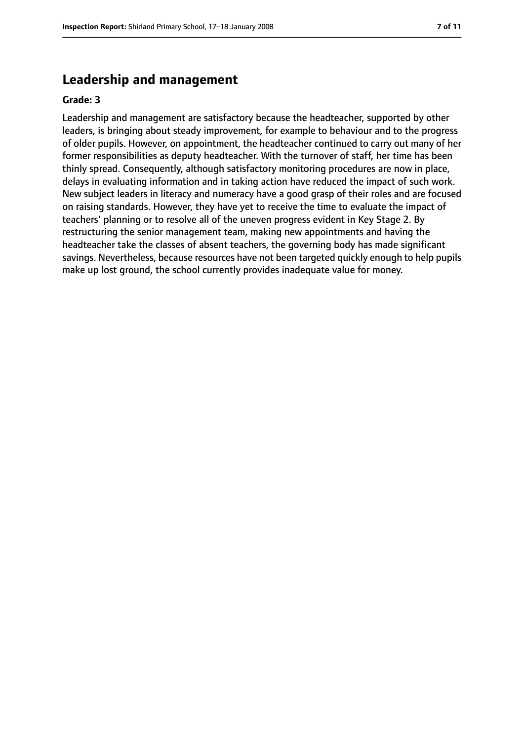# **Leadership and management**

#### **Grade: 3**

Leadership and management are satisfactory because the headteacher, supported by other leaders, is bringing about steady improvement, for example to behaviour and to the progress of older pupils. However, on appointment, the headteacher continued to carry out many of her former responsibilities as deputy headteacher. With the turnover of staff, her time has been thinly spread. Consequently, although satisfactory monitoring procedures are now in place, delays in evaluating information and in taking action have reduced the impact of such work. New subject leaders in literacy and numeracy have a good grasp of their roles and are focused on raising standards. However, they have yet to receive the time to evaluate the impact of teachers' planning or to resolve all of the uneven progress evident in Key Stage 2. By restructuring the senior management team, making new appointments and having the headteacher take the classes of absent teachers, the governing body has made significant savings. Nevertheless, because resources have not been targeted quickly enough to help pupils make up lost ground, the school currently provides inadequate value for money.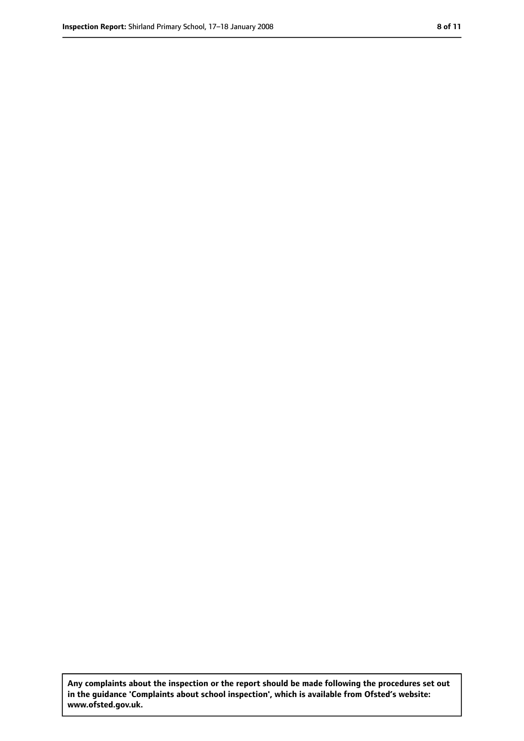**Any complaints about the inspection or the report should be made following the procedures set out in the guidance 'Complaints about school inspection', which is available from Ofsted's website: www.ofsted.gov.uk.**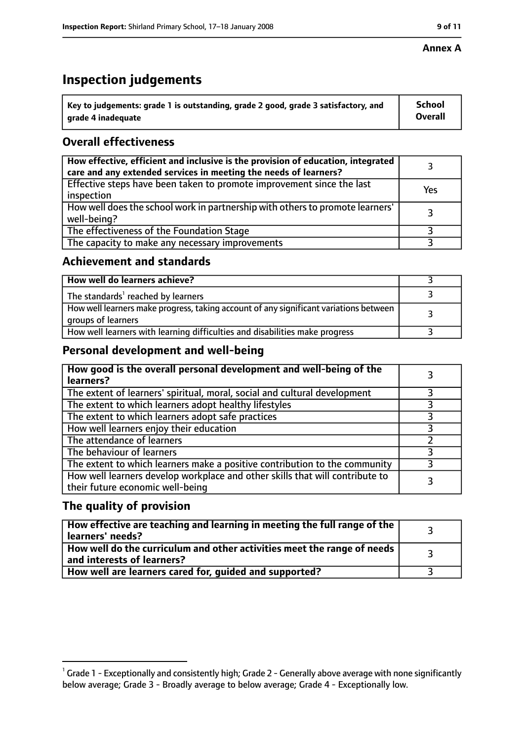#### **Annex A**

# **Inspection judgements**

| $^{\backprime}$ Key to judgements: grade 1 is outstanding, grade 2 good, grade 3 satisfactory, and | <b>School</b>  |
|----------------------------------------------------------------------------------------------------|----------------|
| arade 4 inadequate                                                                                 | <b>Overall</b> |

# **Overall effectiveness**

| How effective, efficient and inclusive is the provision of education, integrated<br>care and any extended services in meeting the needs of learners? |     |
|------------------------------------------------------------------------------------------------------------------------------------------------------|-----|
| Effective steps have been taken to promote improvement since the last<br>inspection                                                                  | Yes |
| How well does the school work in partnership with others to promote learners'<br>well-being?                                                         |     |
| The effectiveness of the Foundation Stage                                                                                                            |     |
| The capacity to make any necessary improvements                                                                                                      |     |

### **Achievement and standards**

| How well do learners achieve?                                                                               |  |
|-------------------------------------------------------------------------------------------------------------|--|
| The standards <sup>1</sup> reached by learners                                                              |  |
| How well learners make progress, taking account of any significant variations between<br>groups of learners |  |
| How well learners with learning difficulties and disabilities make progress                                 |  |

## **Personal development and well-being**

| How good is the overall personal development and well-being of the<br>learners?                                  |  |
|------------------------------------------------------------------------------------------------------------------|--|
| The extent of learners' spiritual, moral, social and cultural development                                        |  |
| The extent to which learners adopt healthy lifestyles                                                            |  |
| The extent to which learners adopt safe practices                                                                |  |
| How well learners enjoy their education                                                                          |  |
| The attendance of learners                                                                                       |  |
| The behaviour of learners                                                                                        |  |
| The extent to which learners make a positive contribution to the community                                       |  |
| How well learners develop workplace and other skills that will contribute to<br>their future economic well-being |  |

# **The quality of provision**

| How effective are teaching and learning in meeting the full range of the<br>learners' needs?          |  |
|-------------------------------------------------------------------------------------------------------|--|
| How well do the curriculum and other activities meet the range of needs<br>and interests of learners? |  |
| How well are learners cared for, quided and supported?                                                |  |

 $^1$  Grade 1 - Exceptionally and consistently high; Grade 2 - Generally above average with none significantly below average; Grade 3 - Broadly average to below average; Grade 4 - Exceptionally low.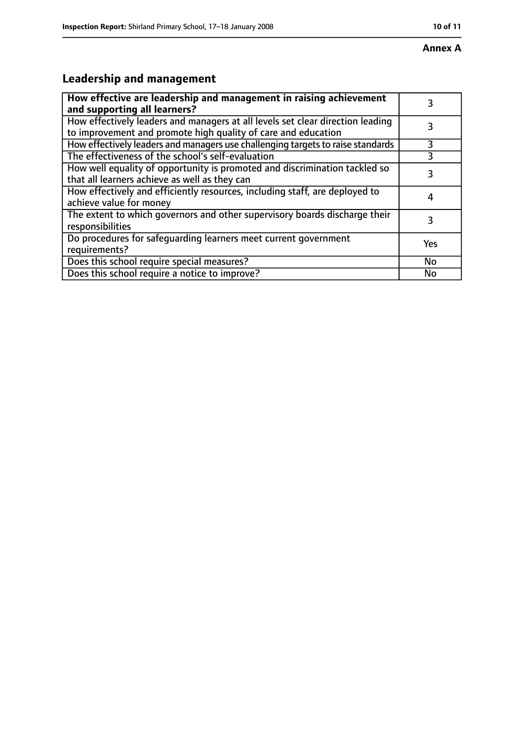# **Annex A**

# **Leadership and management**

| How effective are leadership and management in raising achievement<br>and supporting all learners?                                              | 3   |
|-------------------------------------------------------------------------------------------------------------------------------------------------|-----|
| How effectively leaders and managers at all levels set clear direction leading<br>to improvement and promote high quality of care and education |     |
| How effectively leaders and managers use challenging targets to raise standards                                                                 | 3   |
| The effectiveness of the school's self-evaluation                                                                                               | 3   |
| How well equality of opportunity is promoted and discrimination tackled so<br>that all learners achieve as well as they can                     | 3   |
| How effectively and efficiently resources, including staff, are deployed to<br>achieve value for money                                          |     |
| The extent to which governors and other supervisory boards discharge their<br>responsibilities                                                  | 3   |
| Do procedures for safequarding learners meet current government<br>requirements?                                                                | Yes |
| Does this school require special measures?                                                                                                      | No  |
| Does this school require a notice to improve?                                                                                                   | No  |